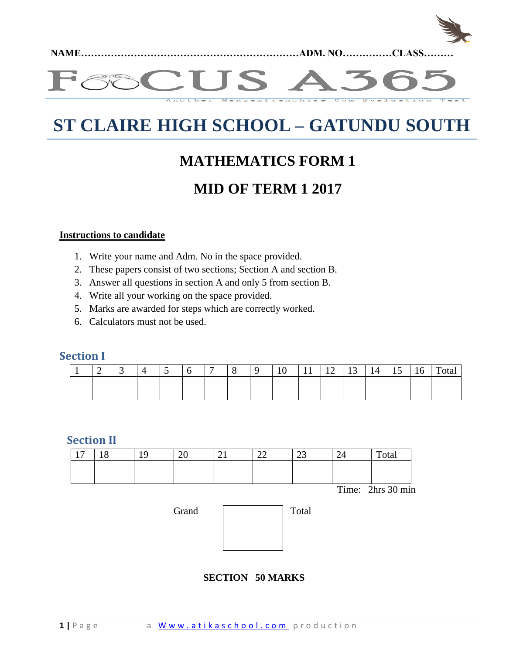

#### **TIS** vamfranchise.Com Another Evaluation

# **ST CLAIRE HIGH SCHOOL – GATUNDU SOUTH**

# **MATHEMATICS FORM 1**

# **MID OF TERM 1 2017**

#### **Instructions to candidate**

- 1. Write your name and Adm. No in the space provided.
- 2. These papers consist of two sections; Section A and section B.
- 3. Answer all questions in section A and only 5 from section B.
- 4. Write all your working on the space provided.
- 5. Marks are awarded for steps which are correctly worked.
- 6. Calculators must not be used.

## **Section I**

|  |  |  | - |  |  | $\overline{ }$<br>- - | $\overline{\phantom{0}}$ |  | –<br>tΩ |
|--|--|--|---|--|--|-----------------------|--------------------------|--|---------|
|  |  |  |   |  |  |                       |                          |  |         |
|  |  |  |   |  |  |                       |                          |  |         |

#### **Section II**

| 1 <sub>7</sub> | $\sqrt{2}$<br>$\circ$ | ററ<br>∠∪ | - 1 | $\sim$<br>44 | $\mathbf{A}$<br>ر ے | 24 | Total |
|----------------|-----------------------|----------|-----|--------------|---------------------|----|-------|
|                |                       |          |     |              |                     |    |       |
|                |                       |          |     |              |                     |    |       |

Time: 2hrs 30 min

| Grand | Total |
|-------|-------|
|       |       |
|       |       |
|       |       |

### **SECTION 50 MARKS**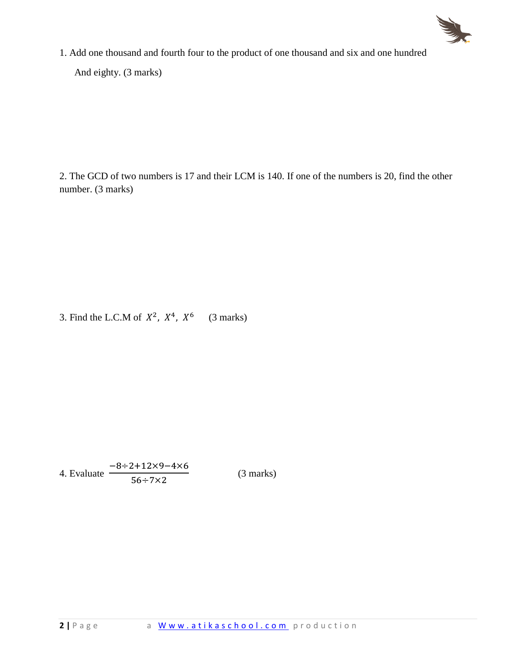

1. Add one thousand and fourth four to the product of one thousand and six and one hundred And eighty. (3 marks)

2. The GCD of two numbers is 17 and their LCM is 140. If one of the numbers is 20, find the other number. (3 marks)

3. Find the L.C.M of  $X^2$ ,  $X^4$ ,  $X^6$  (3 marks)

4. Evaluate  $\overline{\phantom{0}}$ 5

(3 marks)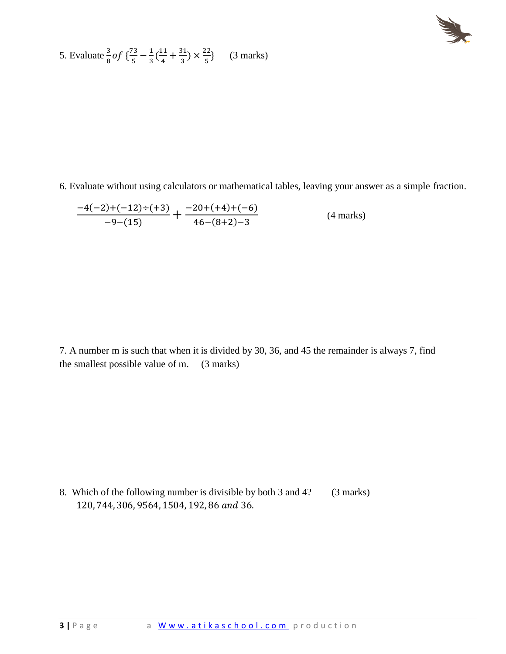$$
\sum_{i=1}^{n} \frac{1}{i}
$$

5. Evaluate 
$$
\frac{3}{8}
$$
 of  $\left\{ \frac{73}{5} - \frac{1}{3} \left( \frac{11}{4} + \frac{31}{3} \right) \times \frac{22}{5} \right\}$  (3 marks)

6. Evaluate without using calculators or mathematical tables, leaving your answer as a simple fraction.

$$
\frac{-4(-2)+(-12)+(12)}{-9-(15)} + \frac{-20+(+4)+(-6)}{46-(8+2)-3}
$$
 (4 marks)

7. A number m is such that when it is divided by 30, 36, and 45 the remainder is always 7, find the smallest possible value of m. (3 marks)

8. Which of the following number is divisible by both 3 and 4? (3 marks) 120, 744, 306, 9564, 1504, 192, 86 and 36.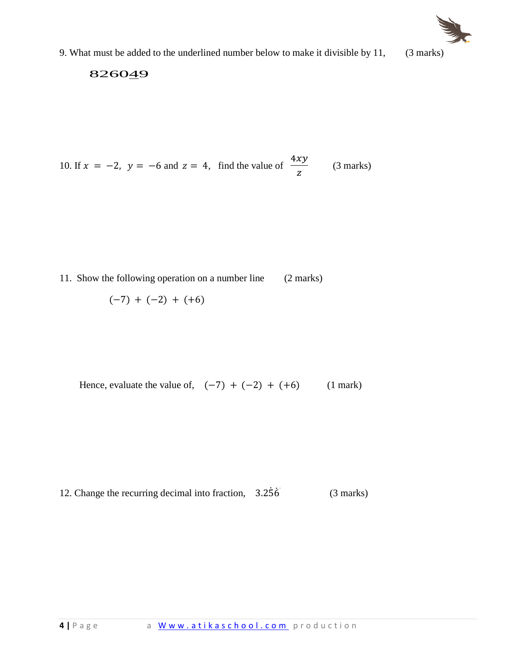

9. What must be added to the underlined number below to make it divisible by 11, (3 marks)

## 826049

10. If 
$$
x = -2
$$
,  $y = -6$  and  $z = 4$ , find the value of  $\frac{4xy}{z}$  (3 marks)

11. Show the following operation on a number line (2 marks)

$$
(-7) + (-2) + (+6)
$$

Hence, evaluate the value of,  $(-7) + (-2) + (+6)$  (1 mark)

12. Change the recurring decimal into fraction, 
$$
3.2\overline{56}
$$
 (3 marks)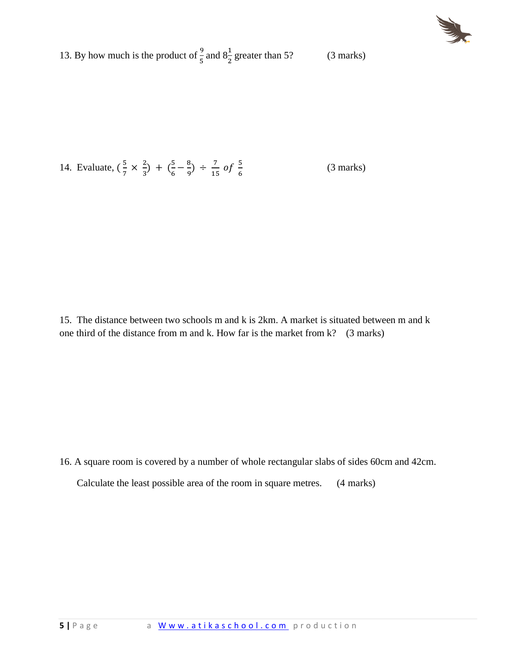

13. By how much is the product of  $\frac{9}{5}$  and  $8\frac{1}{2}$  greater than 5? (3 marks)

14. Evaluate,  $(\frac{5}{7})$  $\frac{5}{7} \times \frac{2}{3}$  $(\frac{2}{3}) + (\frac{5}{6})$  $\frac{5}{6} - \frac{8}{9}$  $\frac{8}{9}$  ÷  $\frac{7}{15}$  $\frac{7}{15}$  of  $\frac{5}{6}$ (3 marks)

15. The distance between two schools m and k is 2km. A market is situated between m and k one third of the distance from m and k. How far is the market from  $k$ ? (3 marks)

16. A square room is covered by a number of whole rectangular slabs of sides 60cm and 42cm.

Calculate the least possible area of the room in square metres. (4 marks)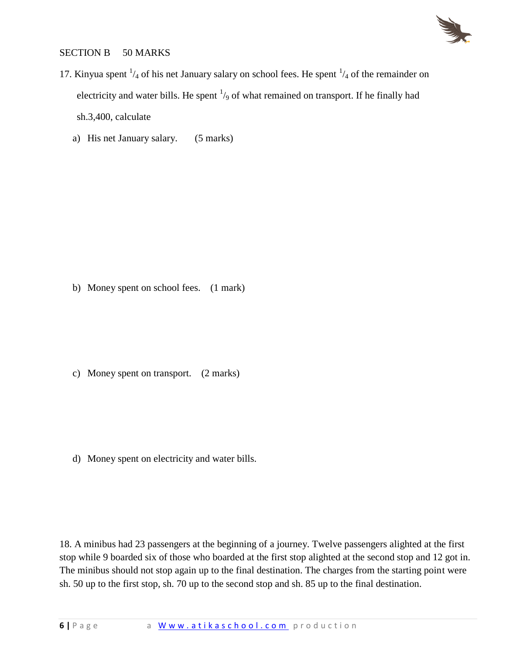

#### SECTION B 50 MARKS

- 17. Kinyua spent  $\frac{1}{4}$  of his net January salary on school fees. He spent  $\frac{1}{4}$  of the remainder on electricity and water bills. He spent  $\frac{1}{9}$  of what remained on transport. If he finally had sh.3,400, calculate
	- a) His net January salary. (5 marks)

b) Money spent on school fees. (1 mark)

c) Money spent on transport. (2 marks)

d) Money spent on electricity and water bills.

18. A minibus had 23 passengers at the beginning of a journey. Twelve passengers alighted at the first stop while 9 boarded six of those who boarded at the first stop alighted at the second stop and 12 got in. The minibus should not stop again up to the final destination. The charges from the starting point were sh. 50 up to the first stop, sh. 70 up to the second stop and sh. 85 up to the final destination.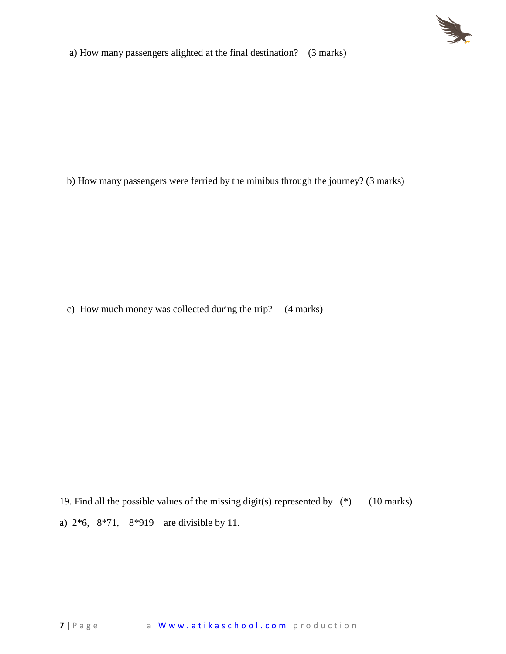

a) How many passengers alighted at the final destination? (3 marks)

b) How many passengers were ferried by the minibus through the journey? (3 marks)

c) How much money was collected during the trip? (4 marks)

19. Find all the possible values of the missing digit(s) represented by (\*) (10 marks) a) 2\*6, 8\*71, 8\*919 are divisible by 11.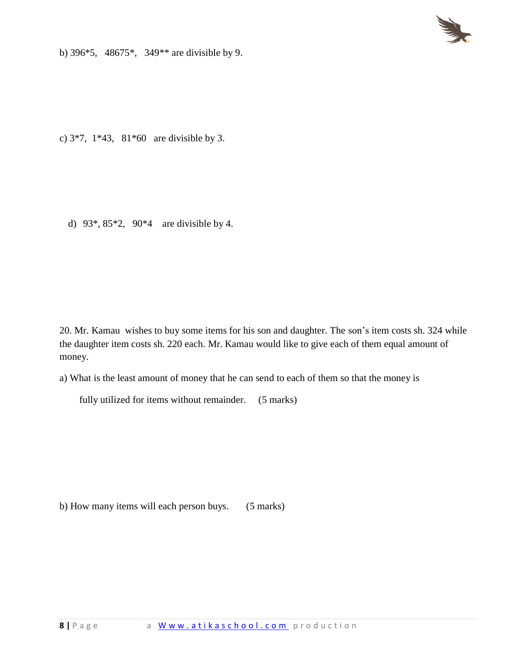

b) 396\*5, 48675\*, 349\*\* are divisible by 9.

c) 3\*7, 1\*43, 81\*60 are divisible by 3.

d) 93\*, 85\*2, 90\*4 are divisible by 4.

20. Mr. Kamau wishes to buy some items for his son and daughter. The son's item costs sh. 324 while the daughter item costs sh. 220 each. Mr. Kamau would like to give each of them equal amount of money.

a) What is the least amount of money that he can send to each of them so that the money is

fully utilized for items without remainder. (5 marks)

b) How many items will each person buys. (5 marks)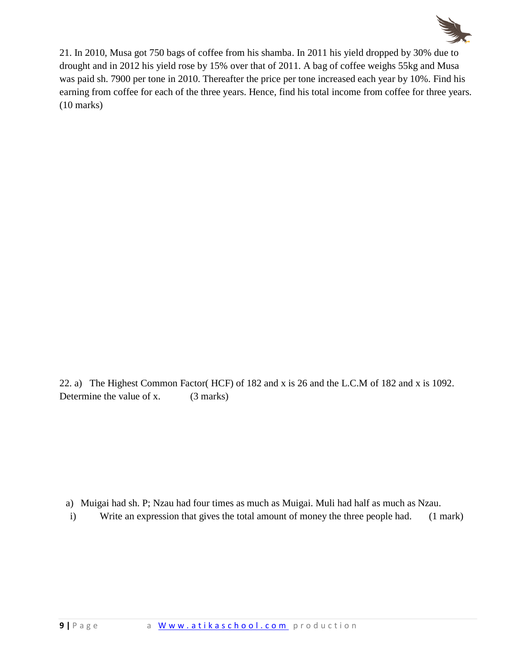

21. In 2010, Musa got 750 bags of coffee from his shamba. In 2011 his yield dropped by 30% due to drought and in 2012 his yield rose by 15% over that of 2011. A bag of coffee weighs 55kg and Musa was paid sh. 7900 per tone in 2010. Thereafter the price per tone increased each year by 10%. Find his earning from coffee for each of the three years. Hence, find his total income from coffee for three years. (10 marks)

22. a) The Highest Common Factor( HCF) of 182 and x is 26 and the L.C.M of 182 and x is 1092. Determine the value of x. (3 marks)

a) Muigai had sh. P; Nzau had four times as much as Muigai. Muli had half as much as Nzau.

i) Write an expression that gives the total amount of money the three people had. (1 mark)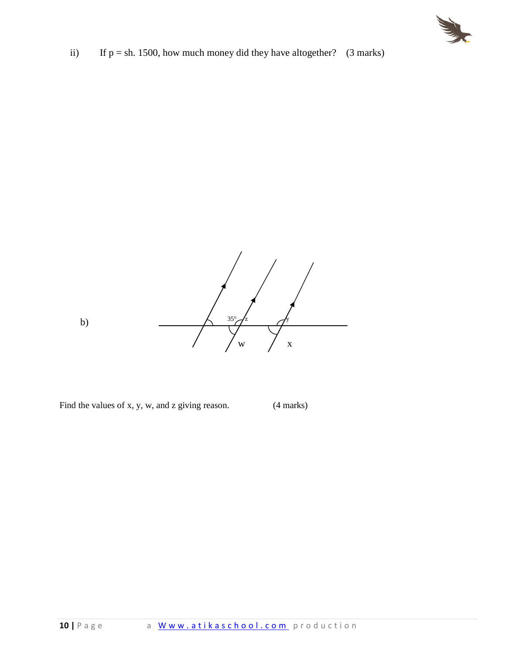

ii) If  $p = sh. 1500$ , how much money did they have altogether? (3 marks)



Find the values of x, y, w, and z giving reason. (4 marks)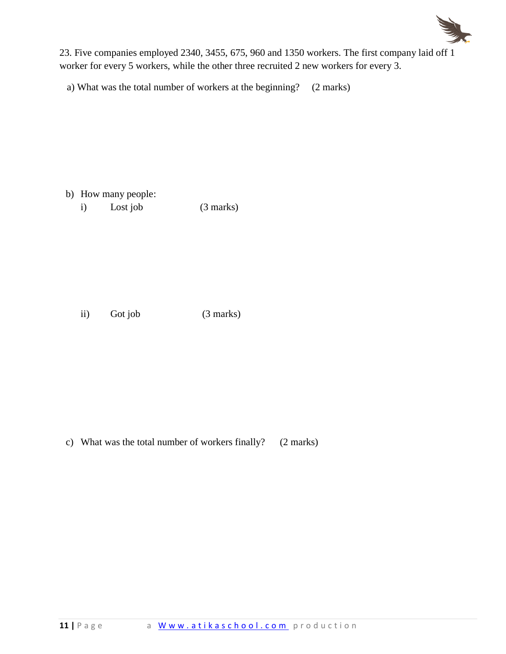

23. Five companies employed 2340, 3455, 675, 960 and 1350 workers. The first company laid off 1 worker for every 5 workers, while the other three recruited 2 new workers for every 3.

a) What was the total number of workers at the beginning? (2 marks)

- b) How many people:
	- i) Lost job (3 marks)

ii) Got job (3 marks)

c) What was the total number of workers finally? (2 marks)